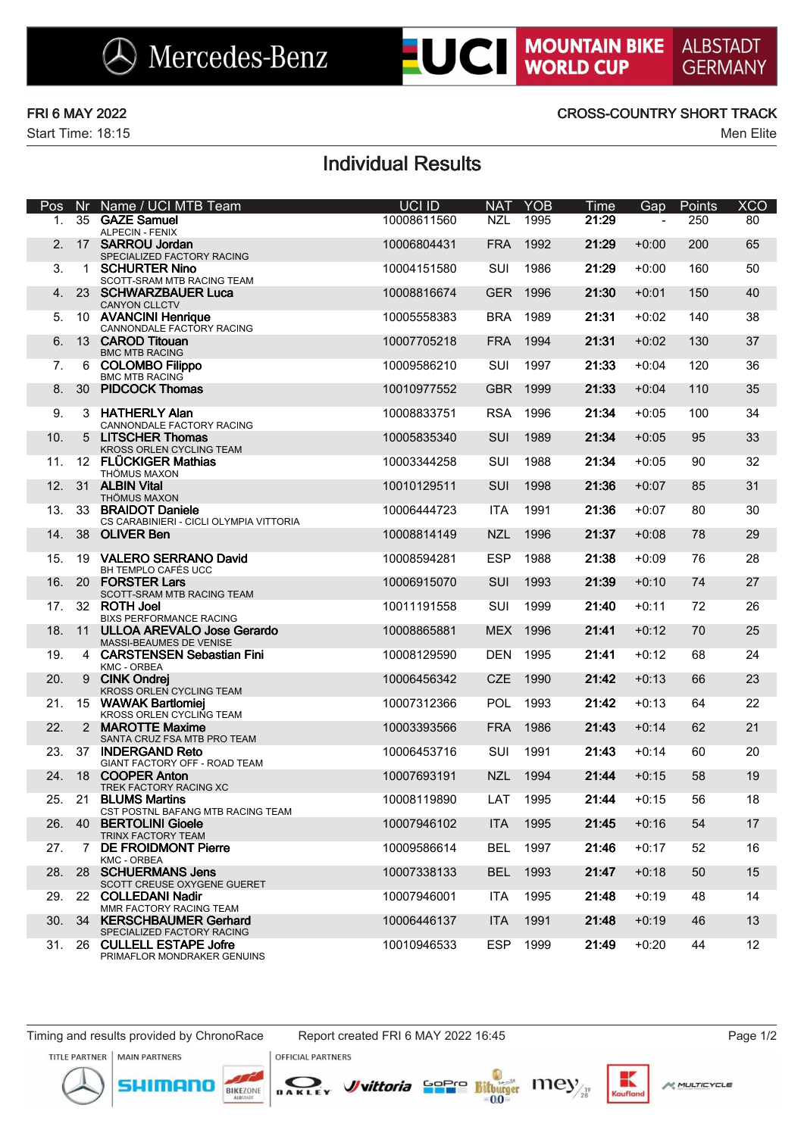$\bigotimes$  Mercedes-Benz

# **LUCI MOUNTAIN BIKE**

Start Time: 18:15 Men Elite

### FRI 6 MAY 2022 CROSS-COUNTRY SHORT TRACK

## Individual Results

| Pos |        | Nr Name / UCI MTB Team                                        | UCI ID      | <b>NAT</b> | <b>YOB</b> | Time  | Gap     | Points | <b>XCO</b> |
|-----|--------|---------------------------------------------------------------|-------------|------------|------------|-------|---------|--------|------------|
| 1.  |        | 35 GAZE Samuel<br><b>ALPECIN - FENIX</b>                      | 10008611560 | <b>NZL</b> | 1995       | 21:29 |         | 250    | 80         |
| 2.  |        | 17 SARROU Jordan<br>SPECIALIZED FACTORY RACING                | 10006804431 | <b>FRA</b> | 1992       | 21:29 | $+0:00$ | 200    | 65         |
| 3.  | 1      | <b>SCHURTER Nino</b><br>SCOTT-SRAM MTB RACING TEAM            | 10004151580 | SUI        | 1986       | 21:29 | $+0:00$ | 160    | 50         |
| 4.  |        | 23 SCHWARZBAUER Luca<br><b>CANYON CLLCTV</b>                  | 10008816674 | <b>GER</b> | 1996       | 21:30 | $+0:01$ | 150    | 40         |
| 5.  |        | 10 AVANCINI Henrique<br>CANNONDALE FACTORY RACING             | 10005558383 | <b>BRA</b> | 1989       | 21:31 | $+0:02$ | 140    | 38         |
| 6.  |        | 13 CAROD Titouan<br><b>BMC MTB RACING</b>                     | 10007705218 | <b>FRA</b> | 1994       | 21:31 | $+0:02$ | 130    | 37         |
| 7.  | 6      | <b>COLOMBO Filippo</b><br><b>BMC MTB RACING</b>               | 10009586210 | SUI        | 1997       | 21:33 | $+0:04$ | 120    | 36         |
| 8.  |        | 30 PIDCOCK Thomas                                             | 10010977552 | <b>GBR</b> | 1999       | 21:33 | $+0:04$ | 110    | 35         |
| 9.  |        | 3 HATHERLY Alan<br>CANNONDALE FACTORY RACING                  | 10008833751 | <b>RSA</b> | 1996       | 21:34 | $+0:05$ | 100    | 34         |
| 10. | 5      | <b>LITSCHER Thomas</b><br>KROSS ORLEN CYCLING TEAM            | 10005835340 | SUI        | 1989       | 21:34 | $+0:05$ | 95     | 33         |
| 11. |        | 12 FLÜCKIGER Mathias<br>THÖMUS MAXON                          | 10003344258 | SUI        | 1988       | 21:34 | $+0:05$ | 90     | 32         |
| 12. |        | 31 ALBIN Vital<br>THÖMUS MAXON                                | 10010129511 | <b>SUI</b> | 1998       | 21:36 | $+0:07$ | 85     | 31         |
| 13. |        | 33 BRAIDOT Daniele<br>CS CARABINIERI - CICLI OLYMPIA VITTORIA | 10006444723 | <b>ITA</b> | 1991       | 21:36 | $+0:07$ | 80     | 30         |
| 14. |        | 38 OLIVER Ben                                                 | 10008814149 | <b>NZL</b> | 1996       | 21:37 | $+0:08$ | 78     | 29         |
| 15. | 19     | <b>VALERO SERRANO David</b><br>BH TEMPLO CAFÉS UCC            | 10008594281 | <b>ESP</b> | 1988       | 21:38 | $+0:09$ | 76     | 28         |
| 16. |        | 20 FORSTER Lars<br>SCOTT-SRAM MTB RACING TEAM                 | 10006915070 | SUI        | 1993       | 21:39 | $+0:10$ | 74     | 27         |
| 17. |        | 32 ROTH Joel<br><b>BIXS PERFORMANCE RACING</b>                | 10011191558 | SUI        | 1999       | 21:40 | $+0:11$ | 72     | 26         |
| 18. | 11     | <b>ULLOA AREVALO Jose Gerardo</b><br>MASSI-BEAUMES DE VENISE  | 10008865881 | <b>MEX</b> | 1996       | 21:41 | $+0:12$ | 70     | 25         |
| 19. |        | 4 CARSTENSEN Sebastian Fini<br>KMC - ORBEA                    | 10008129590 | <b>DEN</b> | 1995       | 21:41 | $+0:12$ | 68     | 24         |
| 20. | 9      | <b>CINK Ondrej</b><br>KROSS ORLEN CYCLING TEAM                | 10006456342 | <b>CZE</b> | 1990       | 21:42 | $+0:13$ | 66     | 23         |
| 21. | 15     | <b>WAWAK Bartlomiej</b><br>KROSS ORLEN CYCLING TEAM           | 10007312366 | POL        | 1993       | 21:42 | $+0:13$ | 64     | 22         |
| 22. |        | 2 MAROTTE Maxime<br>SANTA CRUZ FSA MTB PRO TEAM               | 10003393566 | <b>FRA</b> | 1986       | 21:43 | $+0:14$ | 62     | 21         |
| 23. |        | 37 INDERGAND Reto<br>GIANT FACTORY OFF - ROAD TEAM            | 10006453716 | SUI        | 1991       | 21:43 | $+0:14$ | 60     | 20         |
| 24. |        | 18 COOPER Anton<br>TREK FACTORY RACING XC                     | 10007693191 | <b>NZL</b> | 1994       | 21:44 | $+0:15$ | 58     | 19         |
| 25. |        | 21 BLUMS Martins<br>CST POSTNL BAFANG MTB RACING TEAM         | 10008119890 | LAT        | 1995       | 21:44 | $+0:15$ | 56     | 18         |
| 26. | 40     | <b>BERTOLINI Gioele</b><br><b>TRINX FACTORY TEAM</b>          | 10007946102 | <b>ITA</b> | 1995       | 21:45 | $+0:16$ | 54     | 17         |
| 27. |        | 7 DE FROIDMONT Pierre<br>KMC - ORBEA                          | 10009586614 | <b>BEL</b> | 1997       | 21:46 | $+0:17$ | 52     | 16         |
| 28. |        | 28 SCHUERMANS Jens<br>SCOTT CREUSE OXYGENE GUERET             | 10007338133 | <b>BEL</b> | 1993       | 21:47 | $+0:18$ | 50     | 15         |
|     | 29. 22 | <b>COLLEDANI Nadir</b><br>MMR FACTORY RACING TEAM             | 10007946001 | ITA        | 1995       | 21:48 | $+0:19$ | 48     | 14         |
| 30. | -34    | <b>KERSCHBAUMER Gerhard</b><br>SPECIALIZED FACTORY RACING     | 10006446137 | <b>ITA</b> | 1991       | 21:48 | $+0:19$ | 46     | 13         |
|     |        | 31. 26 CULLELL ESTAPE Jofre<br>PRIMAFLOR MONDRAKER GENUINS    | 10010946533 | <b>ESP</b> | 1999       | 21:49 | $+0:20$ | 44     | 12         |

mor

DAKLEY

BIKEZONE

*J*uittoria Sepre Bitturger INCY